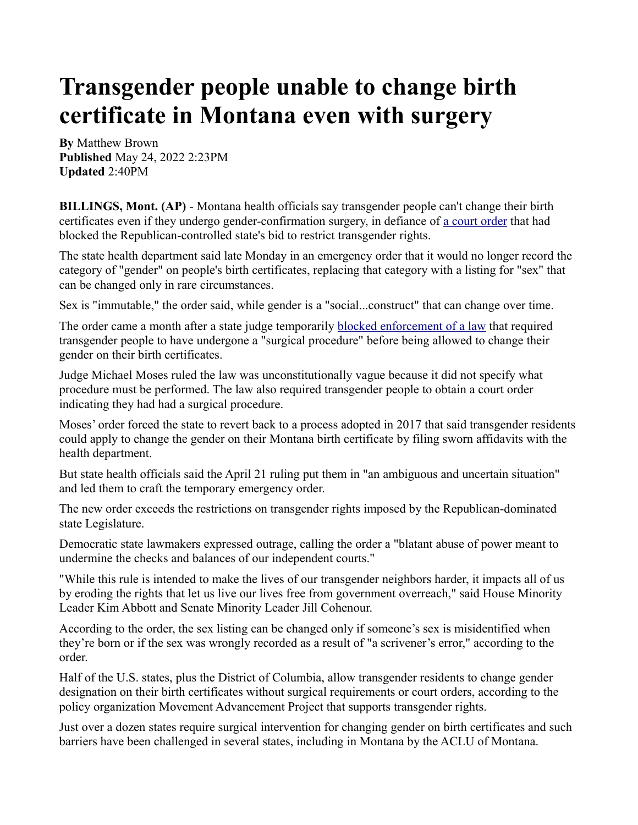## **Transgender people unable to change birth certificate in Montana even with surgery**

**By** Matthew Brown **Published** May 24, 2022 2:23PM **Updated** 2:40PM

**BILLINGS, Mont. (AP)** - Montana health officials say transgender people can't change their birth certificates even if they undergo gender-confirmation surgery, in defiance of [a court order](https://apnews.com/article/health-montana-billings-6c22b9312f2b0246d63521ac4cb836e4) that had blocked the Republican-controlled state's bid to restrict transgender rights.

The state health department said late Monday in an emergency order that it would no longer record the category of "gender" on people's birth certificates, replacing that category with a listing for "sex" that can be changed only in rare circumstances.

Sex is "immutable," the order said, while gender is a "social...construct" that can change over time.

The order came a month after a state judge temporarily **blocked** enforcement of a law that required transgender people to have undergone a "surgical procedure" before being allowed to change their gender on their birth certificates.

Judge Michael Moses ruled the law was unconstitutionally vague because it did not specify what procedure must be performed. The law also required transgender people to obtain a court order indicating they had had a surgical procedure.

Moses' order forced the state to revert back to a process adopted in 2017 that said transgender residents could apply to change the gender on their Montana birth certificate by filing sworn affidavits with the health department.

But state health officials said the April 21 ruling put them in "an ambiguous and uncertain situation" and led them to craft the temporary emergency order.

The new order exceeds the restrictions on transgender rights imposed by the Republican-dominated state Legislature.

Democratic state lawmakers expressed outrage, calling the order a "blatant abuse of power meant to undermine the checks and balances of our independent courts."

"While this rule is intended to make the lives of our transgender neighbors harder, it impacts all of us by eroding the rights that let us live our lives free from government overreach," said House Minority Leader Kim Abbott and Senate Minority Leader Jill Cohenour.

According to the order, the sex listing can be changed only if someone's sex is misidentified when they're born or if the sex was wrongly recorded as a result of "a scrivener's error," according to the order.

Half of the U.S. states, plus the District of Columbia, allow transgender residents to change gender designation on their birth certificates without surgical requirements or court orders, according to the policy organization Movement Advancement Project that supports transgender rights.

Just over a dozen states require surgical intervention for changing gender on birth certificates and such barriers have been challenged in several states, including in Montana by the ACLU of Montana.